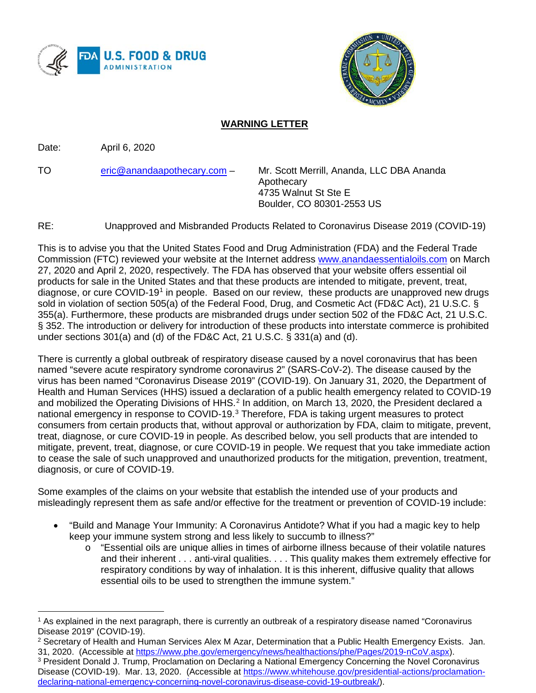



## **WARNING LETTER**

Date: April 6, 2020

TO [eric@anandaapothecary.com](mailto:eric@anandaapothecary.com) – Mr. Scott Merrill, Ananda, LLC DBA Ananda Apothecary 4735 Walnut St Ste E Boulder, CO 80301-2553 US

RE: Unapproved and Misbranded Products Related to Coronavirus Disease 2019 (COVID-19)

This is to advise you that the United States Food and Drug Administration (FDA) and the Federal Trade Commission (FTC) reviewed your website at the Internet address [www.anandaessentialoils.com](http://www.anandaessentialoils.com/) on March 27, 2020 and April 2, 2020, respectively. The FDA has observed that your website offers essential oil products for sale in the United States and that these products are intended to mitigate, prevent, treat, diagnose, or cure COVID-19[1](#page-0-0) in people. Based on our review, these products are unapproved new drugs sold in violation of section 505(a) of the Federal Food, Drug, and Cosmetic Act (FD&C Act), 21 U.S.C. § 355(a). Furthermore, these products are misbranded drugs under section 502 of the FD&C Act, 21 U.S.C. § 352. The introduction or delivery for introduction of these products into interstate commerce is prohibited under sections 301(a) and (d) of the FD&C Act, 21 U.S.C. § 331(a) and (d).

There is currently a global outbreak of respiratory disease caused by a novel coronavirus that has been named "severe acute respiratory syndrome coronavirus 2" (SARS-CoV-2). The disease caused by the virus has been named "Coronavirus Disease 2019" (COVID-19). On January 31, 2020, the Department of Health and Human Services (HHS) issued a declaration of a public health emergency related to COVID-19 and mobilized the Operating Divisions of HHS.<sup>[2](#page-0-1)</sup> In addition, on March 13, 2020, the President declared a national emergency in response to COVID-19.<sup>[3](#page-0-2)</sup> Therefore, FDA is taking urgent measures to protect consumers from certain products that, without approval or authorization by FDA, claim to mitigate, prevent, treat, diagnose, or cure COVID-19 in people. As described below, you sell products that are intended to mitigate, prevent, treat, diagnose, or cure COVID-19 in people. We request that you take immediate action to cease the sale of such unapproved and unauthorized products for the mitigation, prevention, treatment, diagnosis, or cure of COVID-19.

Some examples of the claims on your website that establish the intended use of your products and misleadingly represent them as safe and/or effective for the treatment or prevention of COVID-19 include:

- "Build and Manage Your Immunity: A Coronavirus Antidote? What if you had a magic key to help keep your immune system strong and less likely to succumb to illness?"
	- o "Essential oils are unique allies in times of airborne illness because of their volatile natures and their inherent . . . anti-viral qualities. . . . This quality makes them extremely effective for respiratory conditions by way of inhalation. It is this inherent, diffusive quality that allows essential oils to be used to strengthen the immune system."

<span id="page-0-0"></span> $\overline{a}$ <sup>1</sup> As explained in the next paragraph, there is currently an outbreak of a respiratory disease named "Coronavirus Disease 2019" (COVID-19).

<span id="page-0-1"></span><sup>2</sup> Secretary of Health and Human Services Alex M Azar, Determination that a Public Health Emergency Exists. Jan. 31, 2020. (Accessible at [https://www.phe.gov/emergency/news/healthactions/phe/Pages/2019-nCoV.aspx\)](https://www.phe.gov/emergency/news/healthactions/phe/Pages/2019-nCoV.aspx).

<span id="page-0-2"></span><sup>3</sup> President Donald J. Trump, Proclamation on Declaring a National Emergency Concerning the Novel Coronavirus Disease (COVID-19). Mar. 13, 2020. (Accessible at [https://www.whitehouse.gov/presidential-actions/proclamation](https://www.whitehouse.gov/presidential-actions/proclamation-declaring-national-emergency-concerning-novel-coronavirus-disease-covid-19-outbreak/)[declaring-national-emergency-concerning-novel-coronavirus-disease-covid-19-outbreak/\)](https://www.whitehouse.gov/presidential-actions/proclamation-declaring-national-emergency-concerning-novel-coronavirus-disease-covid-19-outbreak/).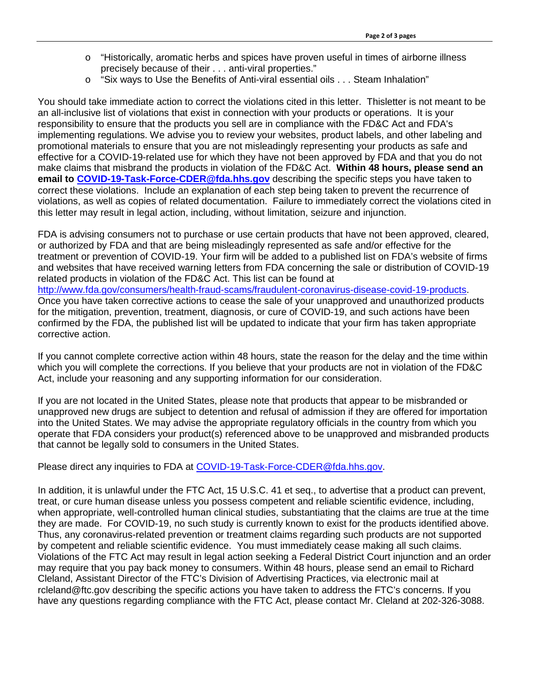- o "Historically, aromatic herbs and spices have proven useful in times of airborne illness precisely because of their . . . anti-viral properties."
- o "Six ways to Use the Benefits of Anti-viral essential oils . . . Steam Inhalation"

You should take immediate action to correct the violations cited in this letter. Thisletter is not meant to be an all-inclusive list of violations that exist in connection with your products or operations. It is your responsibility to ensure that the products you sell are in compliance with the FD&C Act and FDA's implementing regulations. We advise you to review your websites, product labels, and other labeling and promotional materials to ensure that you are not misleadingly representing your products as safe and effective for a COVID-19-related use for which they have not been approved by FDA and that you do not make claims that misbrand the products in violation of the FD&C Act. **Within 48 hours, please send an email to [COVID-19-Task-Force-CDER@fda.hhs.gov](mailto:COVID-19-Task-Force-CDER@fda.hhs.gov)** describing the specific steps you have taken to correct these violations. Include an explanation of each step being taken to prevent the recurrence of violations, as well as copies of related documentation. Failure to immediately correct the violations cited in this letter may result in legal action, including, without limitation, seizure and injunction.

FDA is advising consumers not to purchase or use certain products that have not been approved, cleared, or authorized by FDA and that are being misleadingly represented as safe and/or effective for the treatment or prevention of COVID-19. Your firm will be added to a published list on FDA's website of firms and websites that have received warning letters from FDA concerning the sale or distribution of COVID-19 related products in violation of the FD&C Act. This list can be found at [http://www.fda.gov/consumers/health-fraud-scams/fraudulent-coronavirus-disease-covid-19-products.](http://www.fda.gov/consumers/health-fraud-scams/fraudulent-coronavirus-disease-covid-19-products) Once you have taken corrective actions to cease the sale of your unapproved and unauthorized products for the mitigation, prevention, treatment, diagnosis, or cure of COVID-19, and such actions have been confirmed by the FDA, the published list will be updated to indicate that your firm has taken appropriate corrective action.

If you cannot complete corrective action within 48 hours, state the reason for the delay and the time within which you will complete the corrections. If you believe that your products are not in violation of the FD&C Act, include your reasoning and any supporting information for our consideration.

If you are not located in the United States, please note that products that appear to be misbranded or unapproved new drugs are subject to detention and refusal of admission if they are offered for importation into the United States. We may advise the appropriate regulatory officials in the country from which you operate that FDA considers your product(s) referenced above to be unapproved and misbranded products that cannot be legally sold to consumers in the United States.

Please direct any inquiries to FDA at [COVID-19-Task-Force-CDER@fda.hhs.gov.](mailto:COVID-19-Task-Force-CDER@fda.hhs.gov)

In addition, it is unlawful under the FTC Act, 15 U.S.C. 41 et seq., to advertise that a product can prevent, treat, or cure human disease unless you possess competent and reliable scientific evidence, including, when appropriate, well-controlled human clinical studies, substantiating that the claims are true at the time they are made. For COVID-19, no such study is currently known to exist for the products identified above. Thus, any coronavirus-related prevention or treatment claims regarding such products are not supported by competent and reliable scientific evidence. You must immediately cease making all such claims. Violations of the FTC Act may result in legal action seeking a Federal District Court injunction and an order may require that you pay back money to consumers. Within 48 hours, please send an email to Richard Cleland, Assistant Director of the FTC's Division of Advertising Practices, via electronic mail at rcleland@ftc.gov describing the specific actions you have taken to address the FTC's concerns. If you have any questions regarding compliance with the FTC Act, please contact Mr. Cleland at 202-326-3088.